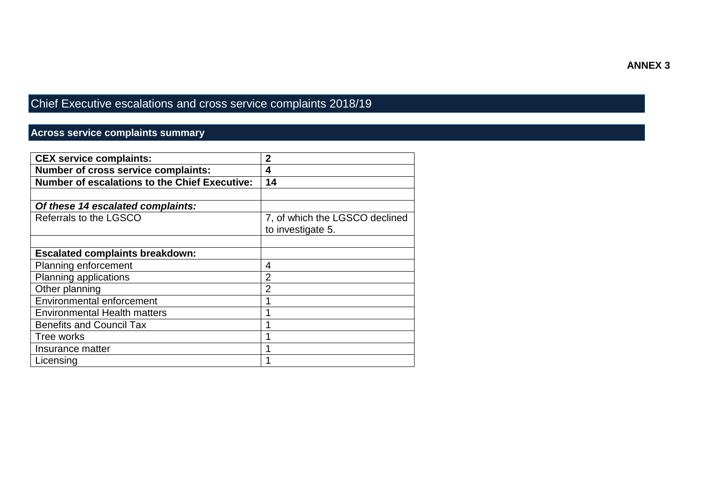#### **ANNEX 3**

# Chief Executive escalations and cross service complaints 2018/19

### **Across service complaints summary**

| <b>CEX service complaints:</b>                       | 2                              |
|------------------------------------------------------|--------------------------------|
| Number of cross service complaints:                  | 4                              |
| <b>Number of escalations to the Chief Executive:</b> | 14                             |
|                                                      |                                |
| Of these 14 escalated complaints:                    |                                |
| Referrals to the LGSCO                               | 7, of which the LGSCO declined |
|                                                      | to investigate 5.              |
|                                                      |                                |
| <b>Escalated complaints breakdown:</b>               |                                |
| Planning enforcement                                 | 4                              |
| Planning applications                                | $\overline{2}$                 |
| Other planning                                       | $\overline{2}$                 |
| <b>Environmental enforcement</b>                     |                                |
| <b>Environmental Health matters</b>                  |                                |
| <b>Benefits and Council Tax</b>                      |                                |
| Tree works                                           |                                |
| Insurance matter                                     |                                |
| Licensing                                            |                                |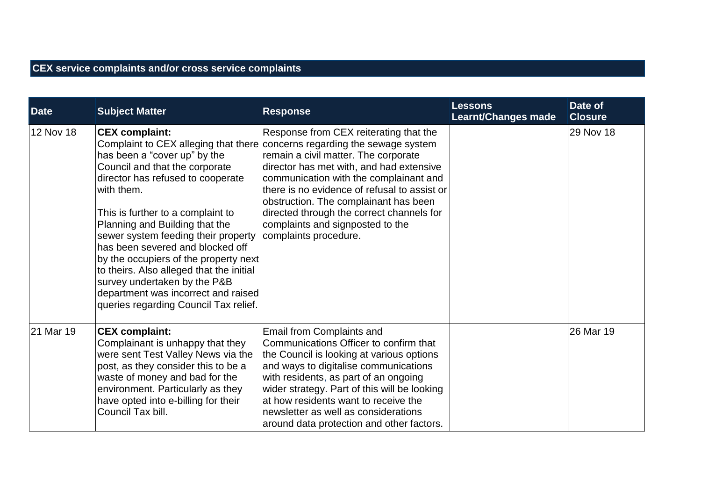## **CEX service complaints and/or cross service complaints**

| <b>Date</b> | <b>Subject Matter</b>                                                                                                                                                                                                                                                                                                                                                                                                                                                                                                                     | <b>Response</b>                                                                                                                                                                                                                                                                                                                                                                                                 | <b>Lessons</b><br><b>Learnt/Changes made</b> | Date of<br><b>Closure</b> |
|-------------|-------------------------------------------------------------------------------------------------------------------------------------------------------------------------------------------------------------------------------------------------------------------------------------------------------------------------------------------------------------------------------------------------------------------------------------------------------------------------------------------------------------------------------------------|-----------------------------------------------------------------------------------------------------------------------------------------------------------------------------------------------------------------------------------------------------------------------------------------------------------------------------------------------------------------------------------------------------------------|----------------------------------------------|---------------------------|
| 12 Nov 18   | <b>CEX complaint:</b><br>Complaint to CEX alleging that there<br>has been a "cover up" by the<br>Council and that the corporate<br>director has refused to cooperate<br>with them.<br>This is further to a complaint to<br>Planning and Building that the<br>sewer system feeding their property<br>has been severed and blocked off<br>by the occupiers of the property next<br>to theirs. Also alleged that the initial<br>survey undertaken by the P&B<br>department was incorrect and raised<br>queries regarding Council Tax relief. | Response from CEX reiterating that the<br>concerns regarding the sewage system<br>remain a civil matter. The corporate<br>director has met with, and had extensive<br>communication with the complainant and<br>there is no evidence of refusal to assist or<br>obstruction. The complainant has been<br>directed through the correct channels for<br>complaints and signposted to the<br>complaints procedure. |                                              | 29 Nov 18                 |
| 21 Mar 19   | <b>CEX complaint:</b><br>Complainant is unhappy that they<br>were sent Test Valley News via the<br>post, as they consider this to be a<br>waste of money and bad for the<br>environment. Particularly as they<br>have opted into e-billing for their<br>Council Tax bill.                                                                                                                                                                                                                                                                 | Email from Complaints and<br>Communications Officer to confirm that<br>the Council is looking at various options<br>and ways to digitalise communications<br>with residents, as part of an ongoing<br>wider strategy. Part of this will be looking<br>at how residents want to receive the<br>newsletter as well as considerations<br>around data protection and other factors.                                 |                                              | 26 Mar 19                 |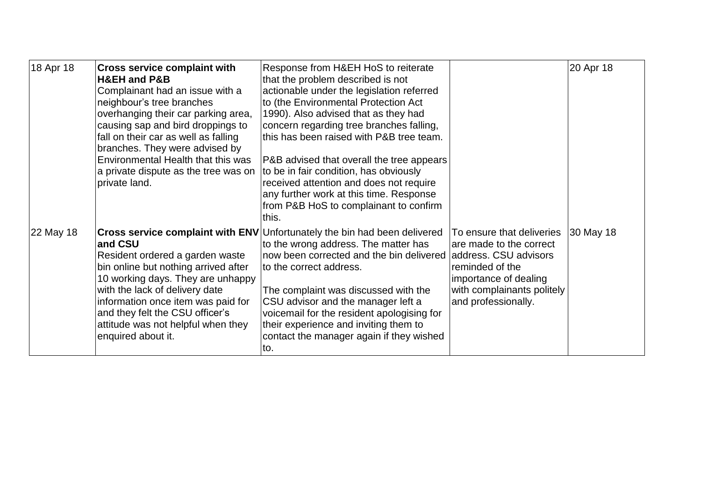| 18 Apr 18 | <b>Cross service complaint with</b><br><b>H&amp;EH and P&amp;B</b><br>Complainant had an issue with a<br>neighbour's tree branches<br>overhanging their car parking area,<br>causing sap and bird droppings to<br>fall on their car as well as falling<br>branches. They were advised by<br>Environmental Health that this was<br>a private dispute as the tree was on<br>private land. | Response from H&EH HoS to reiterate<br>that the problem described is not<br>actionable under the legislation referred<br>to (the Environmental Protection Act<br>1990). Also advised that as they had<br>concern regarding tree branches falling,<br>this has been raised with P&B tree team.<br>P&B advised that overall the tree appears<br>to be in fair condition, has obviously<br>received attention and does not require<br>any further work at this time. Response<br>from P&B HoS to complainant to confirm<br>this. |                                                                                                                                                       | 20 Apr 18 |
|-----------|-----------------------------------------------------------------------------------------------------------------------------------------------------------------------------------------------------------------------------------------------------------------------------------------------------------------------------------------------------------------------------------------|-------------------------------------------------------------------------------------------------------------------------------------------------------------------------------------------------------------------------------------------------------------------------------------------------------------------------------------------------------------------------------------------------------------------------------------------------------------------------------------------------------------------------------|-------------------------------------------------------------------------------------------------------------------------------------------------------|-----------|
| 22 May 18 | and CSU<br>Resident ordered a garden waste<br>bin online but nothing arrived after<br>10 working days. They are unhappy<br>with the lack of delivery date<br>information once item was paid for<br>and they felt the CSU officer's<br>attitude was not helpful when they<br>enquired about it.                                                                                          | <b>Cross service complaint with ENV</b> Unfortunately the bin had been delivered<br>to the wrong address. The matter has<br>now been corrected and the bin delivered address. CSU advisors<br>to the correct address.<br>The complaint was discussed with the<br>CSU advisor and the manager left a<br>voicemail for the resident apologising for<br>their experience and inviting them to<br>contact the manager again if they wished<br>to.                                                                                 | To ensure that deliveries<br>are made to the correct<br>reminded of the<br>importance of dealing<br>with complainants politely<br>and professionally. | 30 May 18 |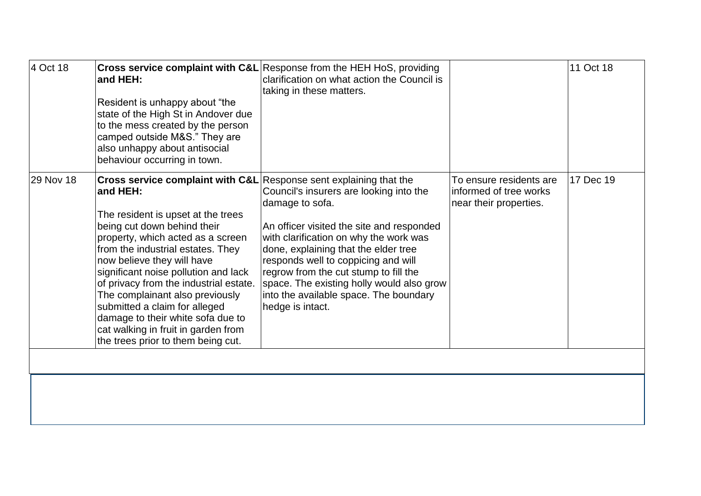| 4 Oct 18  | and HEH:<br>Resident is unhappy about "the<br>state of the High St in Andover due<br>to the mess created by the person<br>camped outside M&S." They are<br>also unhappy about antisocial<br>behaviour occurring in town.                                                                                                                                                                                                                                                                                                                       | <b>Cross service complaint with C&amp;L</b> Response from the HEH HoS, providing<br>clarification on what action the Council is<br>taking in these matters.                                                                                                                                                                                                                          |                                                                             | 11 Oct 18 |
|-----------|------------------------------------------------------------------------------------------------------------------------------------------------------------------------------------------------------------------------------------------------------------------------------------------------------------------------------------------------------------------------------------------------------------------------------------------------------------------------------------------------------------------------------------------------|--------------------------------------------------------------------------------------------------------------------------------------------------------------------------------------------------------------------------------------------------------------------------------------------------------------------------------------------------------------------------------------|-----------------------------------------------------------------------------|-----------|
| 29 Nov 18 | <b>Cross service complaint with C&amp;L</b> Response sent explaining that the<br>and HEH:<br>The resident is upset at the trees<br>being cut down behind their<br>property, which acted as a screen<br>from the industrial estates. They<br>now believe they will have<br>significant noise pollution and lack<br>of privacy from the industrial estate.<br>The complainant also previously<br>submitted a claim for alleged<br>damage to their white sofa due to<br>cat walking in fruit in garden from<br>the trees prior to them being cut. | Council's insurers are looking into the<br>damage to sofa.<br>An officer visited the site and responded<br>with clarification on why the work was<br>done, explaining that the elder tree<br>responds well to coppicing and will<br>regrow from the cut stump to fill the<br>space. The existing holly would also grow<br>into the available space. The boundary<br>hedge is intact. | To ensure residents are<br>informed of tree works<br>near their properties. | 17 Dec 19 |
|           |                                                                                                                                                                                                                                                                                                                                                                                                                                                                                                                                                |                                                                                                                                                                                                                                                                                                                                                                                      |                                                                             |           |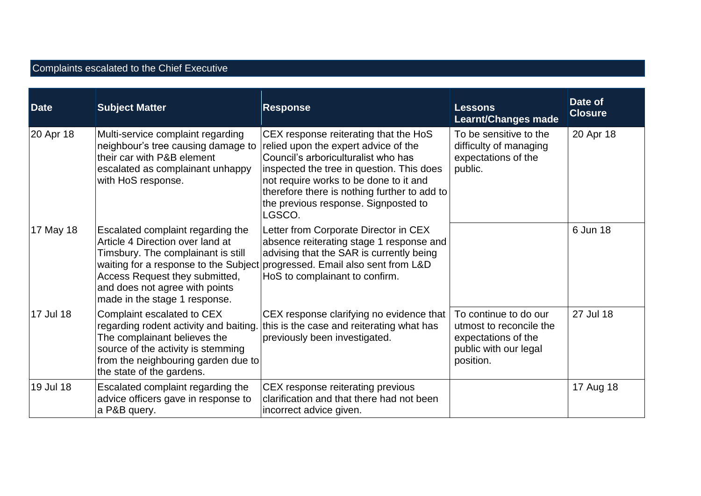### Complaints escalated to the Chief Executive

| <b>Date</b> | <b>Subject Matter</b>                                                                                                                                                                                                                                     | <b>Response</b>                                                                                                                                                                                                                                                                                               | <b>Lessons</b><br><b>Learnt/Changes made</b>                                                                  | Date of<br><b>Closure</b> |
|-------------|-----------------------------------------------------------------------------------------------------------------------------------------------------------------------------------------------------------------------------------------------------------|---------------------------------------------------------------------------------------------------------------------------------------------------------------------------------------------------------------------------------------------------------------------------------------------------------------|---------------------------------------------------------------------------------------------------------------|---------------------------|
| 20 Apr 18   | Multi-service complaint regarding<br>neighbour's tree causing damage to<br>their car with P&B element<br>escalated as complainant unhappy<br>with HoS response.                                                                                           | CEX response reiterating that the HoS<br>relied upon the expert advice of the<br>Council's arboriculturalist who has<br>inspected the tree in question. This does<br>not require works to be done to it and<br>therefore there is nothing further to add to<br>the previous response. Signposted to<br>LGSCO. | To be sensitive to the<br>difficulty of managing<br>expectations of the<br>public.                            | 20 Apr 18                 |
| 17 May 18   | Escalated complaint regarding the<br>Article 4 Direction over land at<br>Timsbury. The complainant is still<br>waiting for a response to the Subject<br>Access Request they submitted,<br>and does not agree with points<br>made in the stage 1 response. | Letter from Corporate Director in CEX<br>absence reiterating stage 1 response and<br>advising that the SAR is currently being<br>progressed. Email also sent from L&D<br>HoS to complainant to confirm.                                                                                                       |                                                                                                               | 6 Jun 18                  |
| 17 Jul 18   | Complaint escalated to CEX<br>regarding rodent activity and baiting.<br>The complainant believes the<br>source of the activity is stemming<br>from the neighbouring garden due to<br>the state of the gardens.                                            | CEX response clarifying no evidence that<br>this is the case and reiterating what has<br>previously been investigated.                                                                                                                                                                                        | To continue to do our<br>utmost to reconcile the<br>expectations of the<br>public with our legal<br>position. | 27 Jul 18                 |
| 19 Jul 18   | Escalated complaint regarding the<br>advice officers gave in response to<br>a P&B query.                                                                                                                                                                  | CEX response reiterating previous<br>clarification and that there had not been<br>incorrect advice given.                                                                                                                                                                                                     |                                                                                                               | 17 Aug 18                 |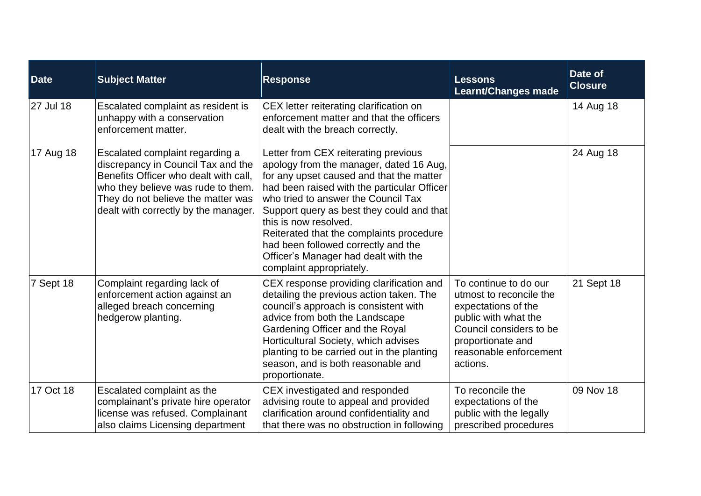| <b>Date</b> | <b>Subject Matter</b>                                                                                                                                                                                                              | <b>Response</b>                                                                                                                                                                                                                                                                                                                                                                                                                                | <b>Lessons</b><br><b>Learnt/Changes made</b>                                                                                                                                          | Date of<br><b>Closure</b> |
|-------------|------------------------------------------------------------------------------------------------------------------------------------------------------------------------------------------------------------------------------------|------------------------------------------------------------------------------------------------------------------------------------------------------------------------------------------------------------------------------------------------------------------------------------------------------------------------------------------------------------------------------------------------------------------------------------------------|---------------------------------------------------------------------------------------------------------------------------------------------------------------------------------------|---------------------------|
| 27 Jul 18   | Escalated complaint as resident is<br>unhappy with a conservation<br>enforcement matter.                                                                                                                                           | CEX letter reiterating clarification on<br>enforcement matter and that the officers<br>dealt with the breach correctly.                                                                                                                                                                                                                                                                                                                        |                                                                                                                                                                                       | 14 Aug 18                 |
| 17 Aug 18   | Escalated complaint regarding a<br>discrepancy in Council Tax and the<br>Benefits Officer who dealt with call,<br>who they believe was rude to them.<br>They do not believe the matter was<br>dealt with correctly by the manager. | Letter from CEX reiterating previous<br>apology from the manager, dated 16 Aug,<br>for any upset caused and that the matter<br>had been raised with the particular Officer<br>who tried to answer the Council Tax<br>Support query as best they could and that<br>this is now resolved.<br>Reiterated that the complaints procedure<br>had been followed correctly and the<br>Officer's Manager had dealt with the<br>complaint appropriately. |                                                                                                                                                                                       | 24 Aug 18                 |
| Sept 18     | Complaint regarding lack of<br>enforcement action against an<br>alleged breach concerning<br>hedgerow planting.                                                                                                                    | CEX response providing clarification and<br>detailing the previous action taken. The<br>council's approach is consistent with<br>advice from both the Landscape<br>Gardening Officer and the Royal<br>Horticultural Society, which advises<br>planting to be carried out in the planting<br>season, and is both reasonable and<br>proportionate.                                                                                               | To continue to do our<br>utmost to reconcile the<br>expectations of the<br>public with what the<br>Council considers to be<br>proportionate and<br>reasonable enforcement<br>actions. | 21 Sept 18                |
| 17 Oct 18   | Escalated complaint as the<br>complainant's private hire operator<br>license was refused. Complainant<br>also claims Licensing department                                                                                          | CEX investigated and responded<br>advising route to appeal and provided<br>clarification around confidentiality and<br>that there was no obstruction in following                                                                                                                                                                                                                                                                              | To reconcile the<br>expectations of the<br>public with the legally<br>prescribed procedures                                                                                           | 09 Nov 18                 |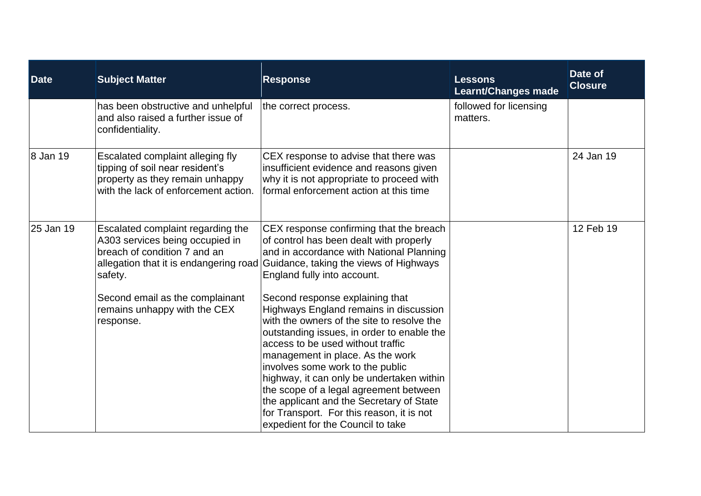| Date      | <b>Subject Matter</b>                                                                                                                          | <b>Response</b>                                                                                                                                                                                                                                                                                                                                                                                                                                                                                         | <b>Lessons</b><br><b>Learnt/Changes made</b> | Date of<br><b>Closure</b> |
|-----------|------------------------------------------------------------------------------------------------------------------------------------------------|---------------------------------------------------------------------------------------------------------------------------------------------------------------------------------------------------------------------------------------------------------------------------------------------------------------------------------------------------------------------------------------------------------------------------------------------------------------------------------------------------------|----------------------------------------------|---------------------------|
|           | has been obstructive and unhelpful<br>and also raised a further issue of<br>confidentiality.                                                   | the correct process.                                                                                                                                                                                                                                                                                                                                                                                                                                                                                    | followed for licensing<br>matters.           |                           |
| 8 Jan 19  | Escalated complaint alleging fly<br>tipping of soil near resident's<br>property as they remain unhappy<br>with the lack of enforcement action. | CEX response to advise that there was<br>insufficient evidence and reasons given<br>why it is not appropriate to proceed with<br>formal enforcement action at this time                                                                                                                                                                                                                                                                                                                                 |                                              | 24 Jan 19                 |
| 25 Jan 19 | Escalated complaint regarding the<br>A303 services being occupied in<br>breach of condition 7 and an<br>safety.                                | CEX response confirming that the breach<br>of control has been dealt with properly<br>and in accordance with National Planning<br>allegation that it is endangering road Guidance, taking the views of Highways<br>England fully into account.                                                                                                                                                                                                                                                          |                                              | 12 Feb 19                 |
|           | Second email as the complainant<br>remains unhappy with the CEX<br>response.                                                                   | Second response explaining that<br>Highways England remains in discussion<br>with the owners of the site to resolve the<br>outstanding issues, in order to enable the<br>access to be used without traffic<br>management in place. As the work<br>involves some work to the public<br>highway, it can only be undertaken within<br>the scope of a legal agreement between<br>the applicant and the Secretary of State<br>for Transport. For this reason, it is not<br>expedient for the Council to take |                                              |                           |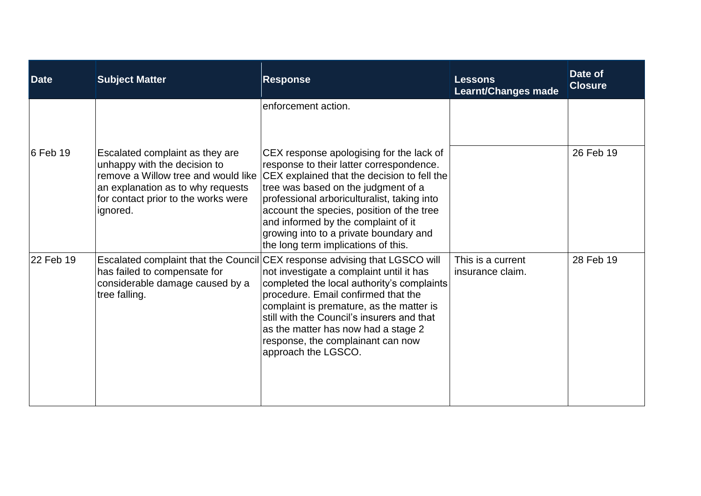| <b>Date</b> | <b>Subject Matter</b>                                                                                                                                                                          | <b>Response</b>                                                                                                                                                                                                                                                                                                                                                                                          | <b>Lessons</b><br><b>Learnt/Changes made</b> | Date of<br><b>Closure</b> |
|-------------|------------------------------------------------------------------------------------------------------------------------------------------------------------------------------------------------|----------------------------------------------------------------------------------------------------------------------------------------------------------------------------------------------------------------------------------------------------------------------------------------------------------------------------------------------------------------------------------------------------------|----------------------------------------------|---------------------------|
|             |                                                                                                                                                                                                | enforcement action.                                                                                                                                                                                                                                                                                                                                                                                      |                                              |                           |
| $6$ Feb 19  | Escalated complaint as they are<br>unhappy with the decision to<br>remove a Willow tree and would like<br>an explanation as to why requests<br>for contact prior to the works were<br>ignored. | CEX response apologising for the lack of<br>response to their latter correspondence.<br>CEX explained that the decision to fell the<br>tree was based on the judgment of a<br>professional arboriculturalist, taking into<br>account the species, position of the tree<br>and informed by the complaint of it<br>growing into to a private boundary and<br>the long term implications of this.           |                                              | 26 Feb 19                 |
| 22 Feb 19   | has failed to compensate for<br>considerable damage caused by a<br>tree falling.                                                                                                               | Escalated complaint that the Council CEX response advising that LGSCO will<br>not investigate a complaint until it has<br>completed the local authority's complaints<br>procedure. Email confirmed that the<br>complaint is premature, as the matter is<br>still with the Council's insurers and that<br>as the matter has now had a stage 2<br>response, the complainant can now<br>approach the LGSCO. | This is a current<br>insurance claim.        | 28 Feb 19                 |